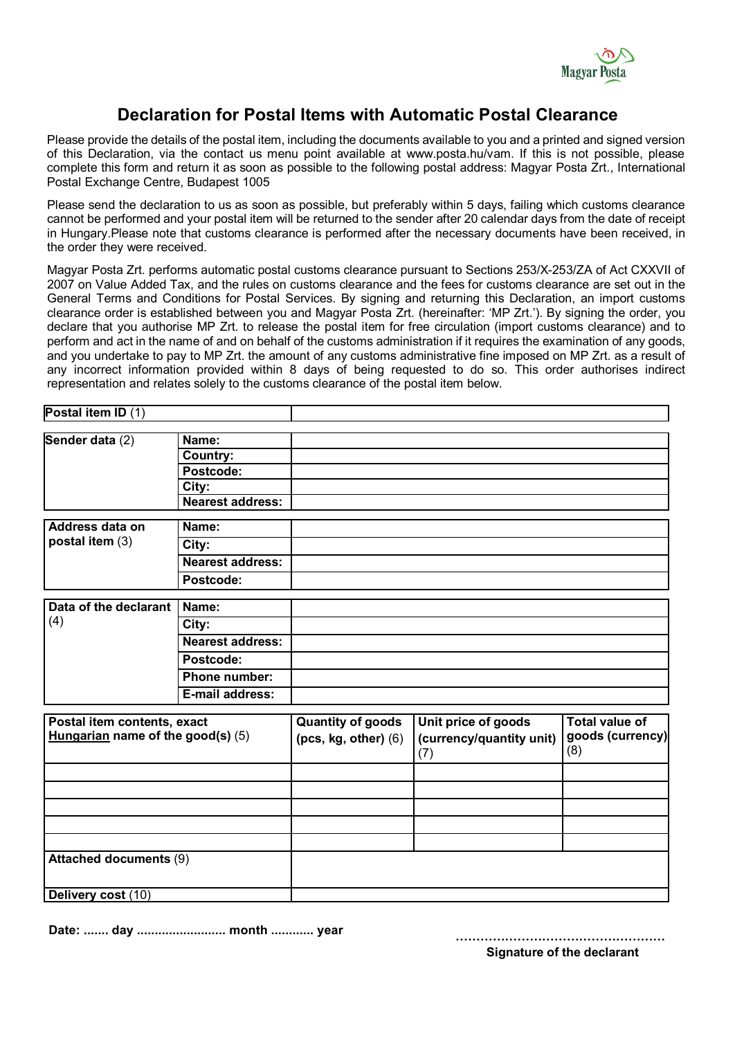

## **Declaration for Postal Items with Automatic Postal Clearance**

Please provide the details of the postal item, including the documents available to you and a printed and signed version of this Declaration, via the contact us menu point available at www.posta.hu/vam. If this is not possible, please complete this form and return it as soon as possible to the following postal address: Magyar Posta Zrt., International Postal Exchange Centre, Budapest 1005

Please send the declaration to us as soon as possible, but preferably within 5 days, failing which customs clearance cannot be performed and your postal item will be returned to the sender after 20 calendar days from the date of receipt in Hungary.Please note that customs clearance is performed after the necessary documents have been received, in the order they were received.

Magyar Posta Zrt. performs automatic postal customs clearance pursuant to Sections 253/X-253/ZA of Act CXXVII of 2007 on Value Added Tax, and the rules on customs clearance and the fees for customs clearance are set out in the General Terms and Conditions for Postal Services. By signing and returning this Declaration, an import customs clearance order is established between you and Magyar Posta Zrt. (hereinafter: 'MP Zrt.'). By signing the order, you declare that you authorise MP Zrt. to release the postal item for free circulation (import customs clearance) and to perform and act in the name of and on behalf of the customs administration if it requires the examination of any goods, and you undertake to pay to MP Zrt. the amount of any customs administrative fine imposed on MP Zrt. as a result of any incorrect information provided within 8 days of being requested to do so. This order authorises indirect representation and relates solely to the customs clearance of the postal item below.

| Postal item ID $(1)$                                               |                         |                          |                                 |                         |
|--------------------------------------------------------------------|-------------------------|--------------------------|---------------------------------|-------------------------|
| Sender data (2)                                                    | Name:                   |                          |                                 |                         |
|                                                                    | <b>Country:</b>         |                          |                                 |                         |
|                                                                    | Postcode:               |                          |                                 |                         |
|                                                                    | City:                   |                          |                                 |                         |
|                                                                    | <b>Nearest address:</b> |                          |                                 |                         |
| Address data on                                                    | Name:                   |                          |                                 |                         |
| postal item (3)                                                    | City:                   |                          |                                 |                         |
|                                                                    | <b>Nearest address:</b> |                          |                                 |                         |
|                                                                    |                         |                          |                                 |                         |
|                                                                    | Postcode:               |                          |                                 |                         |
| Data of the declarant<br>(4)                                       | Name:                   |                          |                                 |                         |
|                                                                    | City:                   |                          |                                 |                         |
|                                                                    | <b>Nearest address:</b> |                          |                                 |                         |
|                                                                    | Postcode:               |                          |                                 |                         |
|                                                                    | <b>Phone number:</b>    |                          |                                 |                         |
|                                                                    | E-mail address:         |                          |                                 |                         |
|                                                                    |                         |                          |                                 |                         |
| Postal item contents, exact<br>Hungarian name of the good(s) $(5)$ |                         | <b>Quantity of goods</b> | Unit price of goods             | <b>Total value of</b>   |
|                                                                    |                         | $(pcs, kg, other)$ $(6)$ | (currency/quantity unit)<br>(7) | goods (currency)<br>(8) |
|                                                                    |                         |                          |                                 |                         |
|                                                                    |                         |                          |                                 |                         |
|                                                                    |                         |                          |                                 |                         |
|                                                                    |                         |                          |                                 |                         |
|                                                                    |                         |                          |                                 |                         |
| <b>Attached documents (9)</b>                                      |                         |                          |                                 |                         |
| Delivery cost (10)                                                 |                         |                          |                                 |                         |

**Date: ....... day ......................... month ............ year**

**…………………………………………… Signature of the declarant**